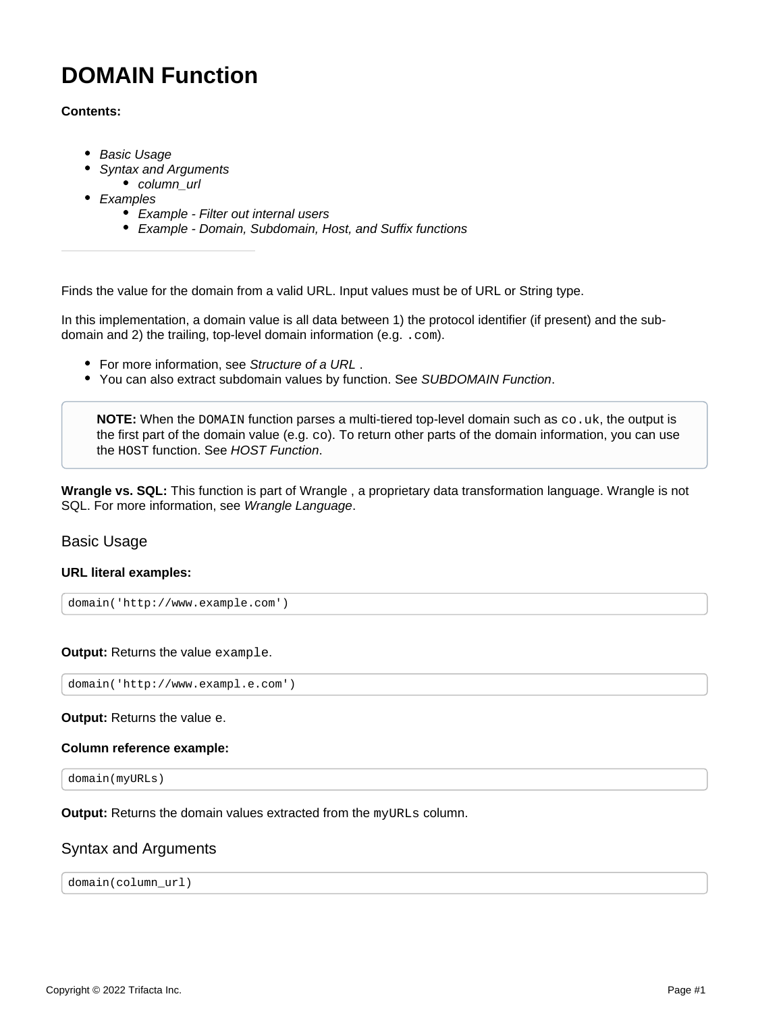# **DOMAIN Function**

#### **Contents:**

- [Basic Usage](#page-0-0)
- [Syntax and Arguments](#page-0-1)
	- [column\\_url](#page-1-0)
- [Examples](#page-1-1)
	- [Example Filter out internal users](#page-1-2)
	- [Example Domain, Subdomain, Host, and Suffix functions](#page-2-0)

Finds the value for the domain from a valid URL. Input values must be of URL or String type.

In this implementation, a domain value is all data between 1) the protocol identifier (if present) and the subdomain and 2) the trailing, top-level domain information (e.g. .com).

- For more information, see [Structure of a URL](https://docs.trifacta.com/display/SS/Structure+of+a+URL).
- You can also extract subdomain values by function. See [SUBDOMAIN Function](https://docs.trifacta.com/display/SS/SUBDOMAIN+Function).

**NOTE:** When the DOMAIN function parses a multi-tiered top-level domain such as  $\cos u$ , the output is the first part of the domain value (e.g. co). To return other parts of the domain information, you can use the HOST function. See [HOST Function](https://docs.trifacta.com/display/SS/HOST+Function).

**Wrangle vs. SQL:** This function is part of Wrangle , a proprietary data transformation language. Wrangle is not SQL. For more information, see [Wrangle Language](https://docs.trifacta.com/display/SS/Wrangle+Language).

# <span id="page-0-0"></span>Basic Usage

#### **URL literal examples:**

```
domain('http://www.example.com')
```
**Output:** Returns the value example.

domain('http://www.exampl.e.com')

#### **Output:** Returns the value e.

#### **Column reference example:**

domain(myURLs)

**Output:** Returns the domain values extracted from the myURLs column.

# <span id="page-0-1"></span>Syntax and Arguments

domain(column\_url)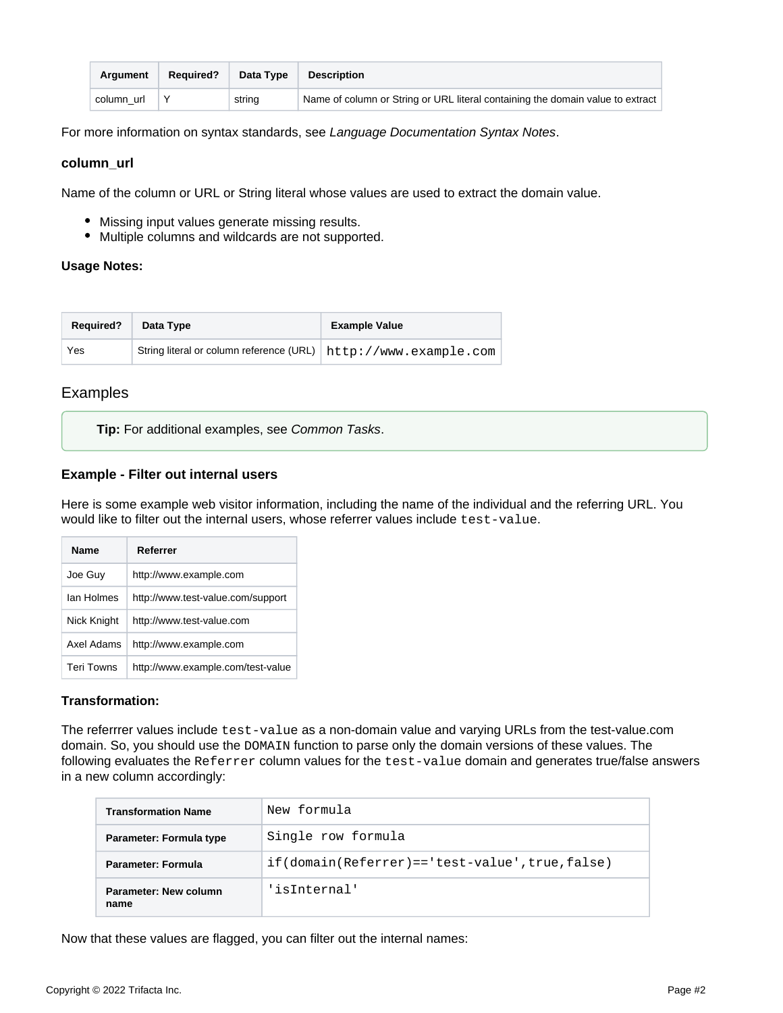| Araument   | <b>Required?</b> | Data Type | <b>Description</b>                                                             |
|------------|------------------|-----------|--------------------------------------------------------------------------------|
| column url |                  | string    | Name of column or String or URL literal containing the domain value to extract |

For more information on syntax standards, see [Language Documentation Syntax Notes](https://docs.trifacta.com/display/SS/Language+Documentation+Syntax+Notes).

#### <span id="page-1-0"></span>**column\_url**

Name of the column or URL or String literal whose values are used to extract the domain value.

- Missing input values generate missing results.
- Multiple columns and wildcards are not supported.

#### **Usage Notes:**

| <b>Required?</b> | Data Type                                                                                     | <b>Example Value</b> |
|------------------|-----------------------------------------------------------------------------------------------|----------------------|
| Yes              | $\frac{1}{2}$ String literal or column reference (URL) $\vert$ http://www.example.com $\vert$ |                      |

# <span id="page-1-1"></span>Examples

**Tip:** For additional examples, see [Common Tasks](https://docs.trifacta.com/display/SS/Common+Tasks).

#### <span id="page-1-2"></span>**Example - Filter out internal users**

Here is some example web visitor information, including the name of the individual and the referring URL. You would like to filter out the internal users, whose referrer values include test-value.

| <b>Name</b>       | Referrer                          |
|-------------------|-----------------------------------|
| Joe Guy           | http://www.example.com            |
| lan Holmes        | http://www.test-value.com/support |
| Nick Knight       | http://www.test-value.com         |
| Axel Adams        | http://www.example.com            |
| <b>Teri Towns</b> | http://www.example.com/test-value |

#### **Transformation:**

The referrrer values include test-value as a non-domain value and varying URLs from the test-value.com domain. So, you should use the DOMAIN function to parse only the domain versions of these values. The following evaluates the Referrer column values for the test-value domain and generates true/false answers in a new column accordingly:

| Transformation Name           | New formula                                          |
|-------------------------------|------------------------------------------------------|
| Parameter: Formula type       | Single row formula                                   |
| Parameter: Formula            | $if (domain(Referrer) == 'test-value', true, false)$ |
| Parameter: New column<br>name | 'isInternal'                                         |

Now that these values are flagged, you can filter out the internal names: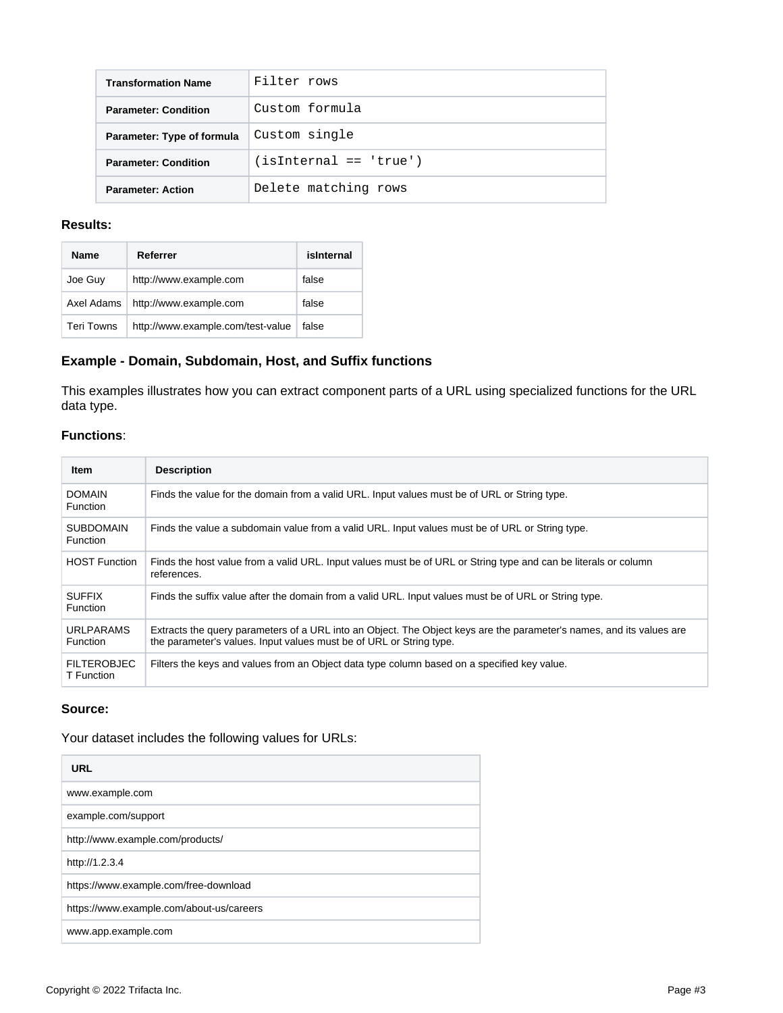| <b>Transformation Name</b>  | Filter rows              |
|-----------------------------|--------------------------|
| <b>Parameter: Condition</b> | Custom formula           |
| Parameter: Type of formula  | Custom single            |
| <b>Parameter: Condition</b> | $(isInternal == 'true')$ |
| <b>Parameter: Action</b>    | Delete matching rows     |

#### **Results:**

| <b>Name</b>       | Referrer                          | isInternal |
|-------------------|-----------------------------------|------------|
| Joe Guy           | http://www.example.com            | false      |
| Axel Adams        | http://www.example.com            | false      |
| <b>Teri Towns</b> | http://www.example.com/test-value | false      |

# <span id="page-2-0"></span>**Example - Domain, Subdomain, Host, and Suffix functions**

This examples illustrates how you can extract component parts of a URL using specialized functions for the URL data type.

# **Functions**:

| <b>Item</b>                         | <b>Description</b>                                                                                                                                                                          |
|-------------------------------------|---------------------------------------------------------------------------------------------------------------------------------------------------------------------------------------------|
| <b>DOMAIN</b><br><b>Function</b>    | Finds the value for the domain from a valid URL. Input values must be of URL or String type.                                                                                                |
| <b>SUBDOMAIN</b><br><b>Function</b> | Finds the value a subdomain value from a valid URL. Input values must be of URL or String type.                                                                                             |
| <b>HOST Function</b>                | Finds the host value from a valid URL. Input values must be of URL or String type and can be literals or column<br>references.                                                              |
| <b>SUFFIX</b><br><b>Function</b>    | Finds the suffix value after the domain from a valid URL. Input values must be of URL or String type.                                                                                       |
| <b>URLPARAMS</b><br><b>Function</b> | Extracts the query parameters of a URL into an Object. The Object keys are the parameter's names, and its values are<br>the parameter's values. Input values must be of URL or String type. |
| <b>FILTEROBJEC</b><br>T Function    | Filters the keys and values from an Object data type column based on a specified key value.                                                                                                 |

#### **Source:**

Your dataset includes the following values for URLs:

| <b>URL</b>                               |
|------------------------------------------|
| www.example.com                          |
| example.com/support                      |
| http://www.example.com/products/         |
| http://1.2.3.4                           |
| https://www.example.com/free-download    |
| https://www.example.com/about-us/careers |
| www.app.example.com                      |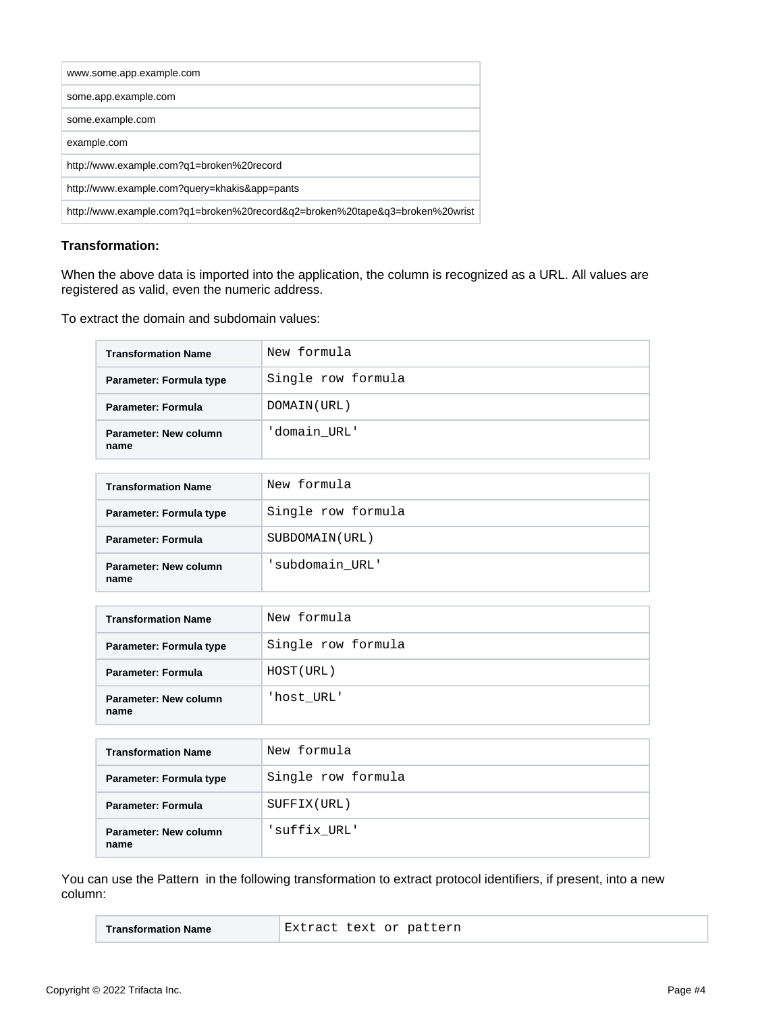| www.some.app.example.com                                                     |
|------------------------------------------------------------------------------|
| some.app.example.com                                                         |
| some.example.com                                                             |
| example.com                                                                  |
| http://www.example.com?q1=broken%20record                                    |
| http://www.example.com?query=khakis&app=pants                                |
| http://www.example.com?g1=broken%20record&g2=broken%20tape&g3=broken%20wrist |

## **Transformation:**

When the above data is imported into the application, the column is recognized as a URL. All values are registered as valid, even the numeric address.

To extract the domain and subdomain values:

| <b>Transformation Name</b>    | New formula        |
|-------------------------------|--------------------|
| Parameter: Formula type       | Single row formula |
| <b>Parameter: Formula</b>     | DOMAIN (URL)       |
| Parameter: New column<br>name | 'domain URL'       |
|                               |                    |
| <b>Transformation Name</b>    | New formula        |
| Parameter: Formula type       | Single row formula |
| <b>Parameter: Formula</b>     | SUBDOMAIN (URL)    |
| Parameter: New column<br>name | 'subdomain_URL'    |
|                               |                    |
| <b>Transformation Name</b>    | New formula        |
| Parameter: Formula type       | Single row formula |
| <b>Parameter: Formula</b>     | HOST (URL)         |
| Parameter: New column<br>name | 'host URL'         |
|                               |                    |
| <b>Transformation Name</b>    | New formula        |

| <b>Transformation Name</b>    | New formula        |
|-------------------------------|--------------------|
| Parameter: Formula type       | Single row formula |
| <b>Parameter: Formula</b>     | SUFFIX(URL)        |
| Parameter: New column<br>name | suffix URL'        |

You can use the Pattern in the following transformation to extract protocol identifiers, if present, into a new column:

| Extract text or pattern |
|-------------------------|
|-------------------------|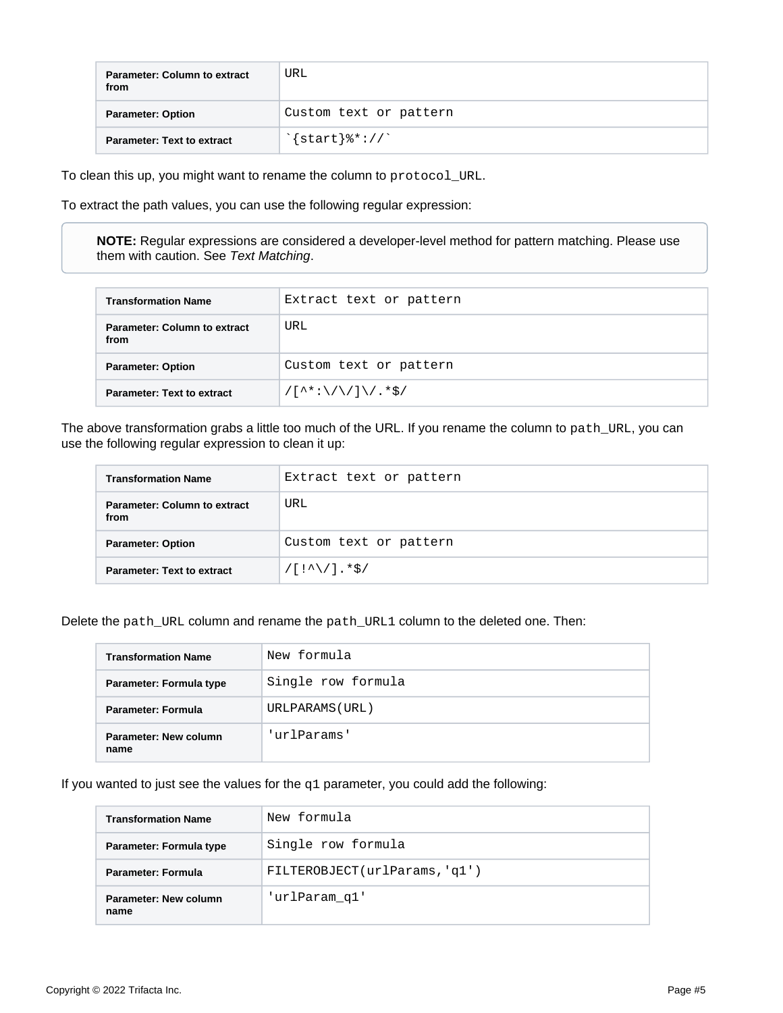| <b>Parameter: Column to extract</b><br>from | URL                                    |
|---------------------------------------------|----------------------------------------|
| <b>Parameter: Option</b>                    | Custom text or pattern                 |
| <b>Parameter: Text to extract</b>           | $\frac{1}{2}$ start $\frac{2}{3}$ : // |

To clean this up, you might want to rename the column to protocol\_URL.

To extract the path values, you can use the following regular expression:

**NOTE:** Regular expressions are considered a developer-level method for pattern matching. Please use them with caution. See [Text Matching](https://docs.trifacta.com/display/SS/Text+Matching).

| <b>Transformation Name</b>                  | Extract text or pattern                                                            |
|---------------------------------------------|------------------------------------------------------------------------------------|
| <b>Parameter: Column to extract</b><br>from | URL                                                                                |
| <b>Parameter: Option</b>                    | Custom text or pattern                                                             |
| <b>Parameter: Text to extract</b>           | $/[\uparrow\uparrow\downarrow:\setminus/\setminus/]\setminus/\cdot\star\uparrow/\$ |

The above transformation grabs a little too much of the URL. If you rename the column to path\_URL, you can use the following regular expression to clean it up:

| <b>Transformation Name</b>                  | Extract text or pattern              |  |  |
|---------------------------------------------|--------------------------------------|--|--|
| <b>Parameter: Column to extract</b><br>from | URL                                  |  |  |
| <b>Parameter: Option</b>                    | Custom text or pattern               |  |  |
| <b>Parameter: Text to extract</b>           | $/[!/^{\wedge}\rangle/].*^{\wedge}/$ |  |  |

Delete the path\_URL column and rename the path\_URL1 column to the deleted one. Then:

| <b>Transformation Name</b>    | New formula        |
|-------------------------------|--------------------|
| Parameter: Formula type       | Single row formula |
| Parameter: Formula            | URLPARAMS (URL)    |
| Parameter: New column<br>name | 'urlParams'        |

If you wanted to just see the values for the  $q1$  parameter, you could add the following:

| <b>Transformation Name</b>    | New formula                   |
|-------------------------------|-------------------------------|
| Parameter: Formula type       | Single row formula            |
| <b>Parameter: Formula</b>     | FILTEROBJECT(urlParams, 'q1') |
| Parameter: New column<br>name | 'urlParam q1'                 |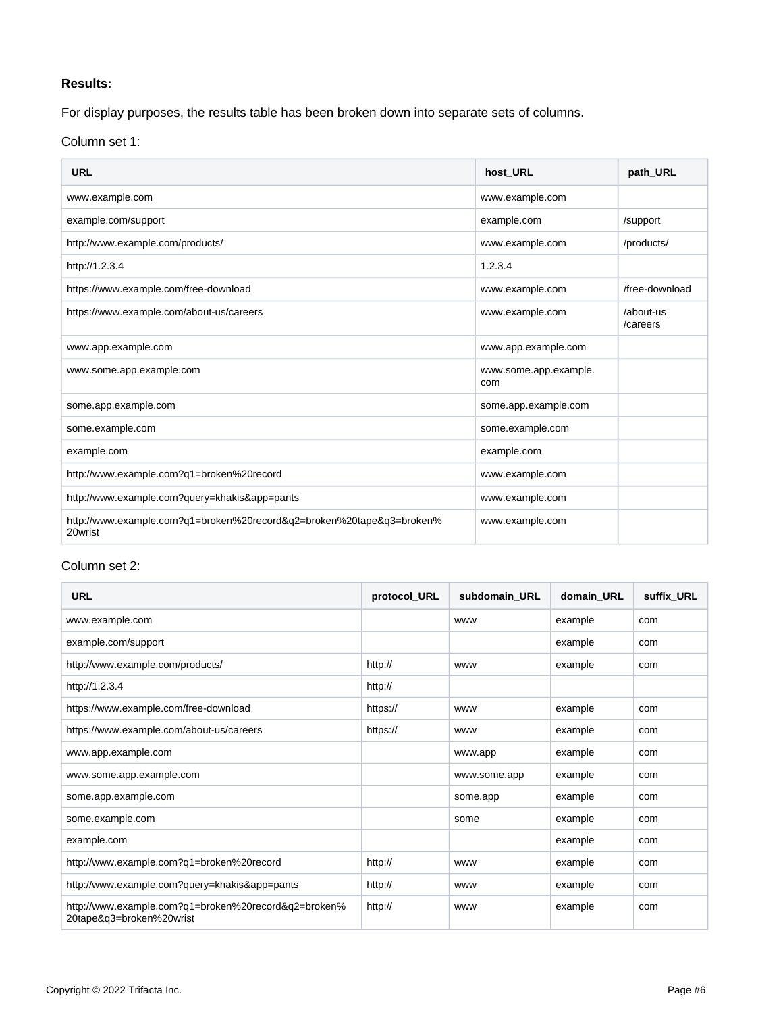# **Results:**

For display purposes, the results table has been broken down into separate sets of columns.

Column set 1:

| <b>URL</b>                                                                       | host URL                     | path URL              |
|----------------------------------------------------------------------------------|------------------------------|-----------------------|
| www.example.com                                                                  | www.example.com              |                       |
| example.com/support                                                              | example.com                  | /support              |
| http://www.example.com/products/                                                 | www.example.com              | /products/            |
| http://1.2.3.4                                                                   | 1.2.3.4                      |                       |
| https://www.example.com/free-download                                            | www.example.com              | /free-download        |
| https://www.example.com/about-us/careers                                         | www.example.com              | /about-us<br>/careers |
| www.app.example.com                                                              | www.app.example.com          |                       |
| www.some.app.example.com                                                         | www.some.app.example.<br>com |                       |
| some.app.example.com                                                             | some.app.example.com         |                       |
| some.example.com                                                                 | some.example.com             |                       |
| example.com                                                                      | example.com                  |                       |
| http://www.example.com?q1=broken%20record                                        | www.example.com              |                       |
| http://www.example.com?query=khakis&app=pants                                    | www.example.com              |                       |
| http://www.example.com?q1=broken%20record&q2=broken%20tape&q3=broken%<br>20wrist | www.example.com              |                       |

# Column set 2:

| <b>URL</b>                                                                       | protocol_URL | subdomain URL | domain URL | suffix URL |
|----------------------------------------------------------------------------------|--------------|---------------|------------|------------|
| www.example.com                                                                  |              | <b>WWW</b>    | example    | com        |
| example.com/support                                                              |              |               | example    | com        |
| http://www.example.com/products/                                                 | http://      | <b>WWW</b>    | example    | com        |
| http://1.2.3.4                                                                   | http://      |               |            |            |
| https://www.example.com/free-download                                            | https://     | <b>WWW</b>    | example    | com        |
| https://www.example.com/about-us/careers                                         | https://     | <b>WWW</b>    | example    | com        |
| www.app.example.com                                                              |              | www.app       | example    | com        |
| www.some.app.example.com                                                         |              | www.some.app  | example    | com        |
| some.app.example.com                                                             |              | some.app      | example    | com        |
| some.example.com                                                                 |              | some          | example    | com        |
| example.com                                                                      |              |               | example    | com        |
| http://www.example.com?q1=broken%20record                                        | http://      | <b>WWW</b>    | example    | com        |
| http://www.example.com?query=khakis&app=pants                                    | http://      | <b>WWW</b>    | example    | com        |
| http://www.example.com?q1=broken%20record&q2=broken%<br>20tape&q3=broken%20wrist | http://      | <b>WWW</b>    | example    | com        |